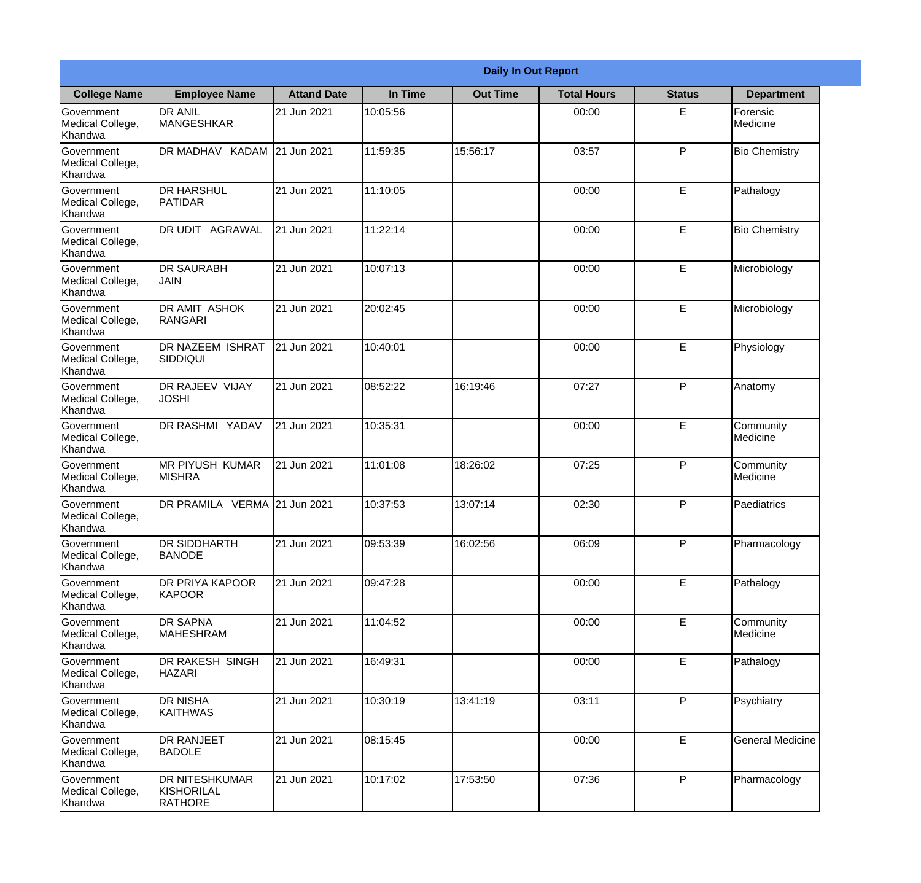|                                                  |                                                       | <b>Daily In Out Report</b> |          |                 |                    |               |                         |
|--------------------------------------------------|-------------------------------------------------------|----------------------------|----------|-----------------|--------------------|---------------|-------------------------|
| <b>College Name</b>                              | <b>Employee Name</b>                                  | <b>Attand Date</b>         | In Time  | <b>Out Time</b> | <b>Total Hours</b> | <b>Status</b> | <b>Department</b>       |
| Government<br>Medical College,<br>Khandwa        | <b>DR ANIL</b><br><b>MANGESHKAR</b>                   | 21 Jun 2021                | 10:05:56 |                 | 00:00              | E             | Forensic<br>Medicine    |
| Government<br>Medical College,<br>Khandwa        | DR MADHAV KADAM 21 Jun 2021                           |                            | 11:59:35 | 15:56:17        | 03:57              | P             | <b>Bio Chemistry</b>    |
| Government<br>Medical College,<br>Khandwa        | <b>DR HARSHUL</b><br>PATIDAR                          | 21 Jun 2021                | 11:10:05 |                 | 00:00              | E             | Pathalogy               |
| Government<br>Medical College,<br>Khandwa        | IDR UDIT<br><b>AGRAWAL</b>                            | 21 Jun 2021                | 11:22:14 |                 | 00:00              | E             | <b>Bio Chemistry</b>    |
| <b>Government</b><br>Medical College,<br>Khandwa | <b>DR SAURABH</b><br><b>JAIN</b>                      | 21 Jun 2021                | 10:07:13 |                 | 00:00              | E             | Microbiology            |
| Government<br>Medical College,<br>Khandwa        | <b>DR AMIT ASHOK</b><br><b>IRANGARI</b>               | 21 Jun 2021                | 20:02:45 |                 | 00:00              | E             | Microbiology            |
| Government<br>Medical College,<br>Khandwa        | <b>DR NAZEEM ISHRAT</b><br>SIDDIQUI                   | 21 Jun 2021                | 10:40:01 |                 | 00:00              | E             | Physiology              |
| Government<br>Medical College,<br>Khandwa        | <b>DR RAJEEV VIJAY</b><br><b>JOSHI</b>                | 21 Jun 2021                | 08:52:22 | 16:19:46        | 07:27              | P             | Anatomy                 |
| Government<br>Medical College,<br>Khandwa        | <b>DR RASHMI YADAV</b>                                | 21 Jun 2021                | 10:35:31 |                 | 00:00              | E             | Community<br>Medicine   |
| Government<br>Medical College,<br>Khandwa        | MR PIYUSH KUMAR<br><b>MISHRA</b>                      | 21 Jun 2021                | 11:01:08 | 18:26:02        | 07:25              | P             | Community<br>Medicine   |
| Government<br>Medical College,<br>Khandwa        | DR PRAMILA VERMA 21 Jun 2021                          |                            | 10:37:53 | 13:07:14        | 02:30              | P             | Paediatrics             |
| Government<br>Medical College,<br>Khandwa        | <b>DR SIDDHARTH</b><br><b>BANODE</b>                  | 21 Jun 2021                | 09:53:39 | 16:02:56        | 06:09              | P             | Pharmacology            |
| Government<br>Medical College,<br>Khandwa        | <b>DR PRIYA KAPOOR</b><br>KAPOOR                      | 21 Jun 2021                | 09:47:28 |                 | 00:00              | E             | Pathalogy               |
| Government<br>Medical College,<br>Khandwa        | <b>DR SAPNA</b><br><b>MAHESHRAM</b>                   | 21 Jun 2021                | 11:04:52 |                 | 00:00              | E             | Community<br>Medicine   |
| <b>Government</b><br>Medical College,<br>Khandwa | <b>DR RAKESH SINGH</b><br><b>HAZARI</b>               | 21 Jun 2021                | 16:49:31 |                 | 00:00              | $\mathsf E$   | Pathalogy               |
| Government<br>Medical College,<br>Khandwa        | <b>DR NISHA</b><br><b>KAITHWAS</b>                    | 21 Jun 2021                | 10:30:19 | 13:41:19        | 03:11              | P             | Psychiatry              |
| Government<br>Medical College,<br>Khandwa        | <b>DR RANJEET</b><br><b>BADOLE</b>                    | 21 Jun 2021                | 08:15:45 |                 | 00:00              | E             | <b>General Medicine</b> |
| Government<br>Medical College,<br>Khandwa        | <b>DR NITESHKUMAR</b><br>KISHORILAL<br><b>RATHORE</b> | 21 Jun 2021                | 10:17:02 | 17:53:50        | 07:36              | P             | Pharmacology            |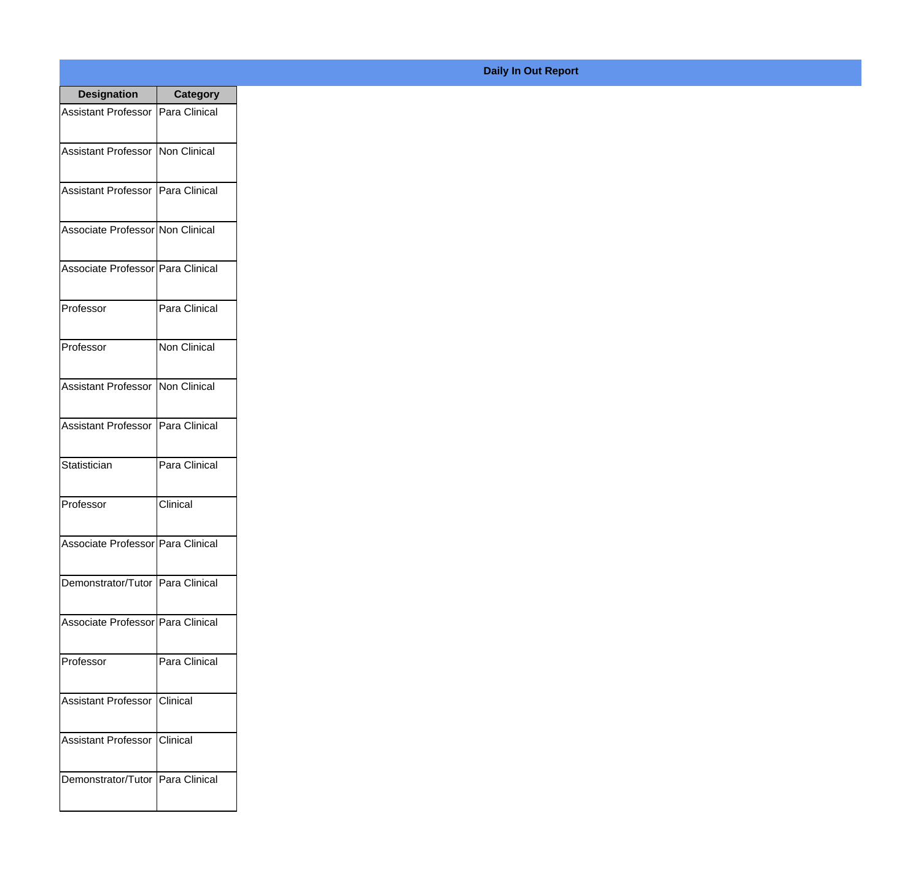| <b>Designation</b>                  | <b>Category</b>     |
|-------------------------------------|---------------------|
| Assistant Professor   Para Clinical |                     |
| Assistant Professor   Non Clinical  |                     |
| Assistant Professor   Para Clinical |                     |
| Associate Professor Non Clinical    |                     |
| Associate Professor Para Clinical   |                     |
| Professor                           | Para Clinical       |
| Professor                           | <b>Non Clinical</b> |
| Assistant Professor   Non Clinical  |                     |
| <b>Assistant Professor</b>          | Para Clinical       |
| Statistician                        | Para Clinical       |
| Professor                           | Clinical            |
| Associate Professor   Para Clinical |                     |
| Demonstrator/Tutor   Para Clinical  |                     |
| Associate Professor Para Clinical   |                     |
| Professor                           | Para Clinical       |
| <b>Assistant Professor</b>          | Clinical            |
| <b>Assistant Professor</b>          | Clinical            |
| Demonstrator/Tutor   Para Clinical  |                     |

## **Daily In Out Report**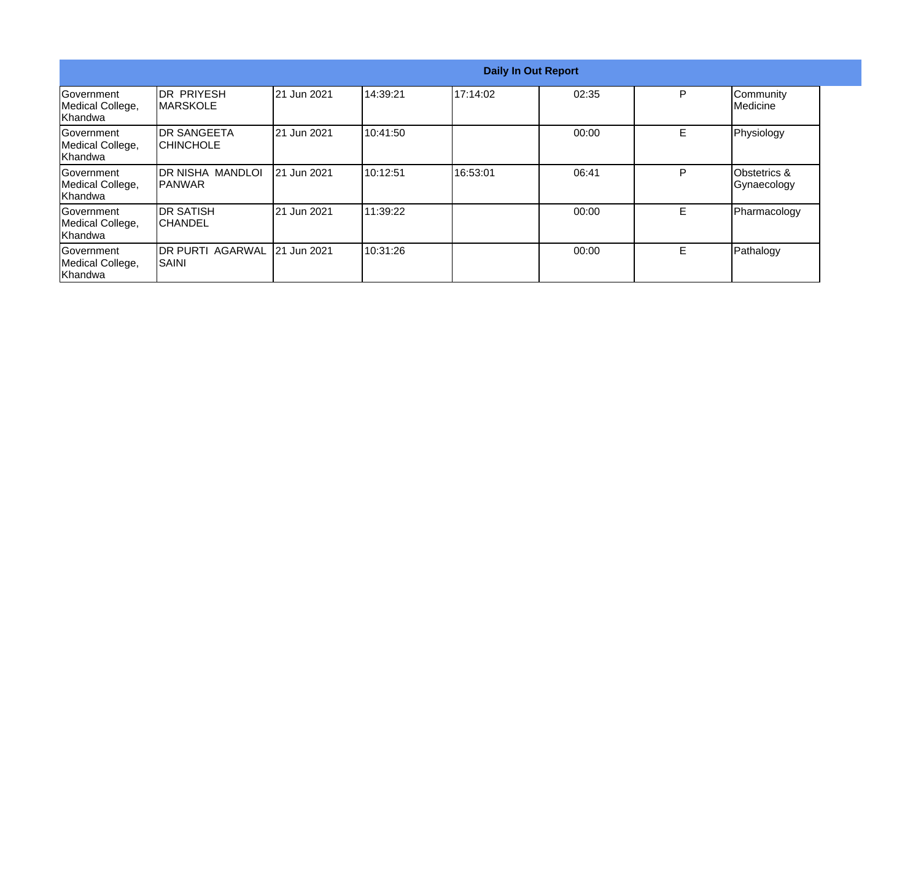|                                                  |                                        |                    |           |          | <b>Daily In Out Report</b> |   |                                        |
|--------------------------------------------------|----------------------------------------|--------------------|-----------|----------|----------------------------|---|----------------------------------------|
| Government<br>Medical College,<br>Khandwa        | <b>IDR PRIYESH</b><br><b>MARSKOLE</b>  | 21 Jun 2021        | 14:39:21  | 17:14:02 | 02:35                      | P | Community<br>Medicine                  |
| <b>Government</b><br>Medical College,<br>Khandwa | <b>DR SANGEETA</b><br><b>CHINCHOLE</b> | 21 Jun 2021        | 10:41:50  |          | 00:00                      | E | Physiology                             |
| lGovernment<br>Medical College,<br>Khandwa       | IDR NISHA MANDLOI<br><b>IPANWAR</b>    | <b>21 Jun 2021</b> | 10:12:51  | 16:53:01 | 06:41                      | P | <b>Obstetrics &amp;</b><br>Gynaecology |
| lGovernment<br>Medical College,<br>Khandwa       | IDR SATISH<br>ICHANDEL                 | 21 Jun 2021        | 111:39:22 |          | 00:00                      | E | Pharmacology                           |
| Government<br>Medical College,<br>Khandwa        | DR PURTI AGARWAL 21 Jun 2021<br>ISAINI |                    | 10:31:26  |          | 00:00                      | E | Pathalogy                              |